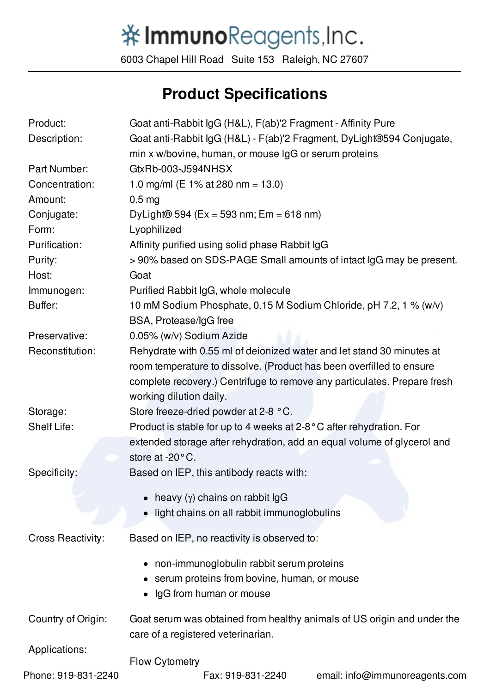## 举ImmunoReagents, Inc.

6003 Chapel Hill Road Suite 153 Raleigh, NC 27607

## **Product Specifications**

| Product:                 | Goat anti-Rabbit IgG (H&L), F(ab)'2 Fragment - Affinity Pure                                |
|--------------------------|---------------------------------------------------------------------------------------------|
| Description:             | Goat anti-Rabbit IgG (H&L) - F(ab)'2 Fragment, DyLight®594 Conjugate,                       |
|                          | min x w/bovine, human, or mouse IgG or serum proteins                                       |
| Part Number:             | GtxRb-003-J594NHSX                                                                          |
| Concentration:           | 1.0 mg/ml (E 1% at 280 nm = 13.0)                                                           |
| Amount:                  | 0.5 <sub>mg</sub>                                                                           |
| Conjugate:               | DyLight® 594 (Ex = 593 nm; Em = 618 nm)                                                     |
| Form:                    | Lyophilized                                                                                 |
| Purification:            | Affinity purified using solid phase Rabbit IgG                                              |
| Purity:                  | >90% based on SDS-PAGE Small amounts of intact IgG may be present.                          |
| Host:                    | Goat                                                                                        |
| Immunogen:               | Purified Rabbit IgG, whole molecule                                                         |
| Buffer:                  | 10 mM Sodium Phosphate, 0.15 M Sodium Chloride, pH 7.2, 1 % (w/v)<br>BSA, Protease/IgG free |
| Preservative:            | 0.05% (w/v) Sodium Azide                                                                    |
| Reconstitution:          | Rehydrate with 0.55 ml of deionized water and let stand 30 minutes at                       |
|                          | room temperature to dissolve. (Product has been overfilled to ensure                        |
|                          | complete recovery.) Centrifuge to remove any particulates. Prepare fresh                    |
|                          | working dilution daily.                                                                     |
| Storage:                 | Store freeze-dried powder at 2-8 °C.                                                        |
| Shelf Life:              | Product is stable for up to 4 weeks at $2-8$ °C after rehydration. For                      |
|                          | extended storage after rehydration, add an equal volume of glycerol and                     |
|                          | store at -20°C.                                                                             |
| Specificity:             | Based on IEP, this antibody reacts with:                                                    |
|                          | heavy $(y)$ chains on rabbit $\lg G$                                                        |
|                          | light chains on all rabbit immunoglobulins                                                  |
|                          |                                                                                             |
| <b>Cross Reactivity:</b> | Based on IEP, no reactivity is observed to:                                                 |
|                          | non-immunoglobulin rabbit serum proteins                                                    |
|                          | serum proteins from bovine, human, or mouse                                                 |
|                          | IgG from human or mouse                                                                     |
| Country of Origin:       | Goat serum was obtained from healthy animals of US origin and under the                     |
|                          | care of a registered veterinarian.                                                          |
| Applications:            |                                                                                             |
|                          | <b>Flow Cytometry</b>                                                                       |
| Phone: 919-831-2240      | Fax: 919-831-2240<br>email: info@immunoreagents.com                                         |